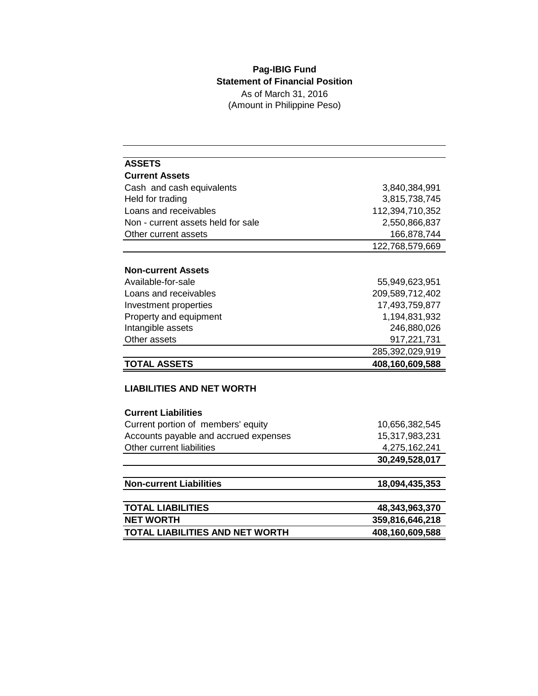## **Pag-IBIG Fund Statement of Financial Position** As of March 31, 2016 (Amount in Philippine Peso)

| <b>ASSETS</b>                          |                 |  |  |
|----------------------------------------|-----------------|--|--|
| <b>Current Assets</b>                  |                 |  |  |
| Cash and cash equivalents              | 3,840,384,991   |  |  |
| Held for trading                       | 3,815,738,745   |  |  |
| Loans and receivables                  | 112,394,710,352 |  |  |
| Non - current assets held for sale     | 2,550,866,837   |  |  |
| Other current assets                   | 166,878,744     |  |  |
|                                        | 122,768,579,669 |  |  |
|                                        |                 |  |  |
| <b>Non-current Assets</b>              |                 |  |  |
| Available-for-sale                     | 55,949,623,951  |  |  |
| Loans and receivables                  | 209,589,712,402 |  |  |
| Investment properties                  | 17,493,759,877  |  |  |
| Property and equipment                 | 1,194,831,932   |  |  |
| Intangible assets                      | 246,880,026     |  |  |
| Other assets                           | 917,221,731     |  |  |
|                                        | 285,392,029,919 |  |  |
| <b>TOTAL ASSETS</b>                    | 408,160,609,588 |  |  |
|                                        |                 |  |  |
| <b>LIABILITIES AND NET WORTH</b>       |                 |  |  |
|                                        |                 |  |  |
| <b>Current Liabilities</b>             |                 |  |  |
| Current portion of members' equity     | 10,656,382,545  |  |  |
| Accounts payable and accrued expenses  | 15,317,983,231  |  |  |
| Other current liabilities              | 4,275,162,241   |  |  |
|                                        | 30,249,528,017  |  |  |
|                                        |                 |  |  |
| <b>Non-current Liabilities</b>         | 18,094,435,353  |  |  |
|                                        |                 |  |  |
| <b>TOTAL LIABILITIES</b>               | 48,343,963,370  |  |  |
| <b>NET WORTH</b>                       | 359,816,646,218 |  |  |
| <b>TOTAL LIABILITIES AND NET WORTH</b> | 408,160,609,588 |  |  |
|                                        |                 |  |  |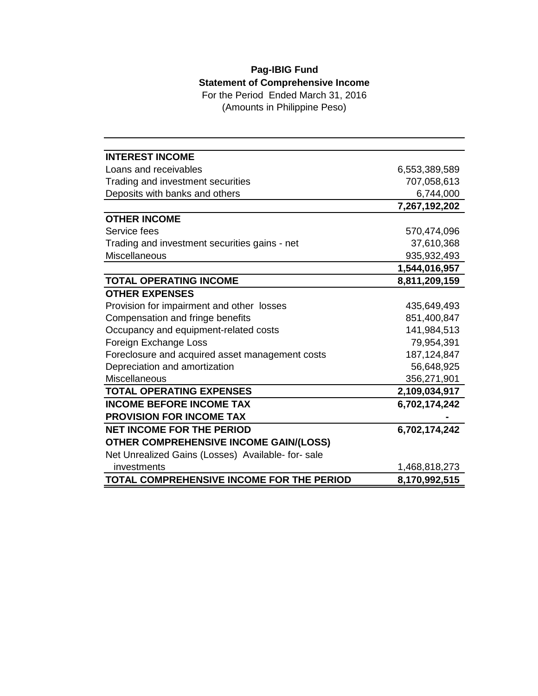## **Pag-IBIG Fund Statement of Comprehensive Income** For the Period Ended March 31, 2016

(Amounts in Philippine Peso)

| <b>INTEREST INCOME</b>                            |               |
|---------------------------------------------------|---------------|
| Loans and receivables                             | 6,553,389,589 |
| Trading and investment securities                 | 707,058,613   |
| Deposits with banks and others                    | 6,744,000     |
|                                                   | 7,267,192,202 |
| <b>OTHER INCOME</b>                               |               |
| Service fees                                      | 570,474,096   |
| Trading and investment securities gains - net     | 37,610,368    |
| Miscellaneous                                     | 935,932,493   |
|                                                   | 1,544,016,957 |
| <b>TOTAL OPERATING INCOME</b>                     | 8,811,209,159 |
| <b>OTHER EXPENSES</b>                             |               |
| Provision for impairment and other losses         | 435,649,493   |
| Compensation and fringe benefits                  | 851,400,847   |
| Occupancy and equipment-related costs             | 141,984,513   |
| Foreign Exchange Loss                             | 79,954,391    |
| Foreclosure and acquired asset management costs   | 187, 124, 847 |
| Depreciation and amortization                     | 56,648,925    |
| <b>Miscellaneous</b>                              | 356,271,901   |
| <b>TOTAL OPERATING EXPENSES</b>                   | 2,109,034,917 |
| <b>INCOME BEFORE INCOME TAX</b>                   | 6,702,174,242 |
| <b>PROVISION FOR INCOME TAX</b>                   |               |
| <b>NET INCOME FOR THE PERIOD</b>                  | 6,702,174,242 |
| <b>OTHER COMPREHENSIVE INCOME GAIN/(LOSS)</b>     |               |
| Net Unrealized Gains (Losses) Available- for-sale |               |
| investments                                       | 1,468,818,273 |
| TOTAL COMPREHENSIVE INCOME FOR THE PERIOD         | 8,170,992,515 |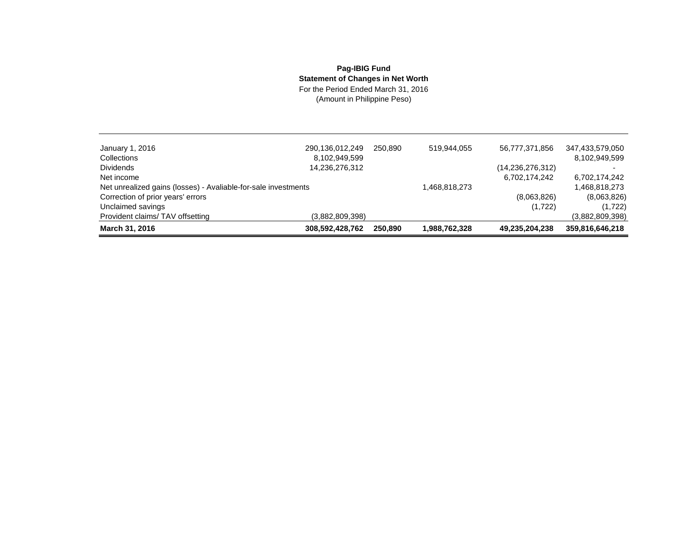## **Pag-IBIG Fund Statement of Changes in Net Worth**

For the Period Ended March 31, 2016 (Amount in Philippine Peso)

| January 1, 2016                                                | 290,136,012,249 | 250.890 | 519.944.055   | 56,777,371,856      | 347,433,579,050 |
|----------------------------------------------------------------|-----------------|---------|---------------|---------------------|-----------------|
| Collections                                                    | 8,102,949,599   |         |               |                     | 8,102,949,599   |
| <b>Dividends</b>                                               | 14,236,276,312  |         |               | (14, 236, 276, 312) |                 |
| Net income                                                     |                 |         |               | 6,702,174,242       | 6,702,174,242   |
| Net unrealized gains (losses) - Avaliable-for-sale investments |                 |         | 1.468.818.273 |                     | 1,468,818,273   |
| Correction of prior years' errors                              |                 |         |               | (8,063,826)         | (8,063,826)     |
| Unclaimed savings                                              |                 |         |               | (1,722)             | (1,722)         |
| Provident claims/TAV offsetting                                | (3,882,809,398) |         |               |                     | (3,882,809,398) |
| March 31, 2016                                                 | 308,592,428,762 | 250.890 | 1,988,762,328 | 49,235,204,238      | 359,816,646,218 |